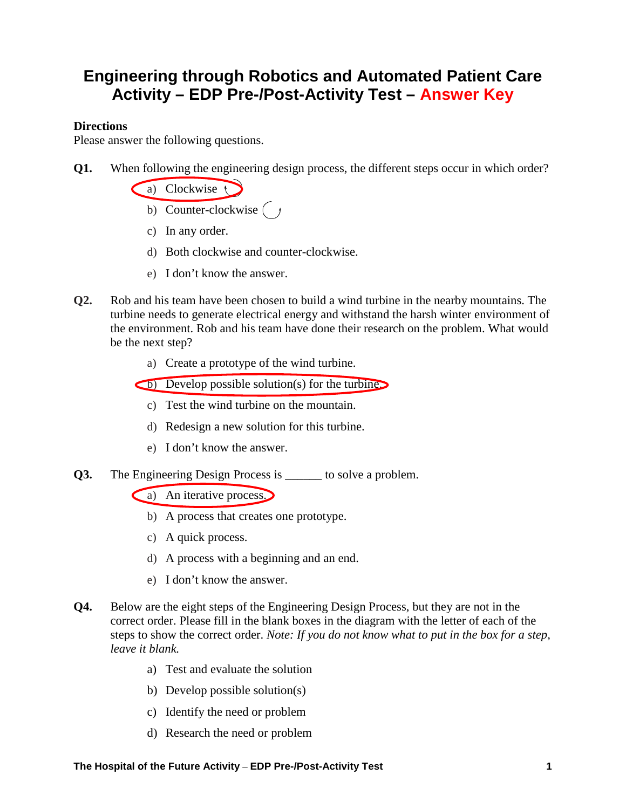## **Engineering through Robotics and Automated Patient Care Activity – EDP Pre-/Post-Activity Test – Answer Key**

## **Directions**

Please answer the following questions.

**Q1.** When following the engineering design process, the different steps occur in which order?

a) Clockwise

- b) Counter-clockwise  $\begin{pmatrix} y \\ z \end{pmatrix}$
- c) In any order.
- d) Both clockwise and counter-clockwise.
- e) I don't know the answer.
- **Q2.** Rob and his team have been chosen to build a wind turbine in the nearby mountains. The turbine needs to generate electrical energy and withstand the harsh winter environment of the environment. Rob and his team have done their research on the problem. What would be the next step?
	- a) Create a prototype of the wind turbine.

b) Develop possible solution(s) for the turbine.

- c) Test the wind turbine on the mountain.
- d) Redesign a new solution for this turbine.
- e) I don't know the answer.
- **Q3.** The Engineering Design Process is \_\_\_\_\_\_ to solve a problem.

a) An iterative process.

- b) A process that creates one prototype.
- c) A quick process.
- d) A process with a beginning and an end.
- e) I don't know the answer.
- **Q4.** Below are the eight steps of the Engineering Design Process, but they are not in the correct order. Please fill in the blank boxes in the diagram with the letter of each of the steps to show the correct order. *Note: If you do not know what to put in the box for a step, leave it blank.*
	- a) Test and evaluate the solution
	- b) Develop possible solution(s)
	- c) Identify the need or problem
	- d) Research the need or problem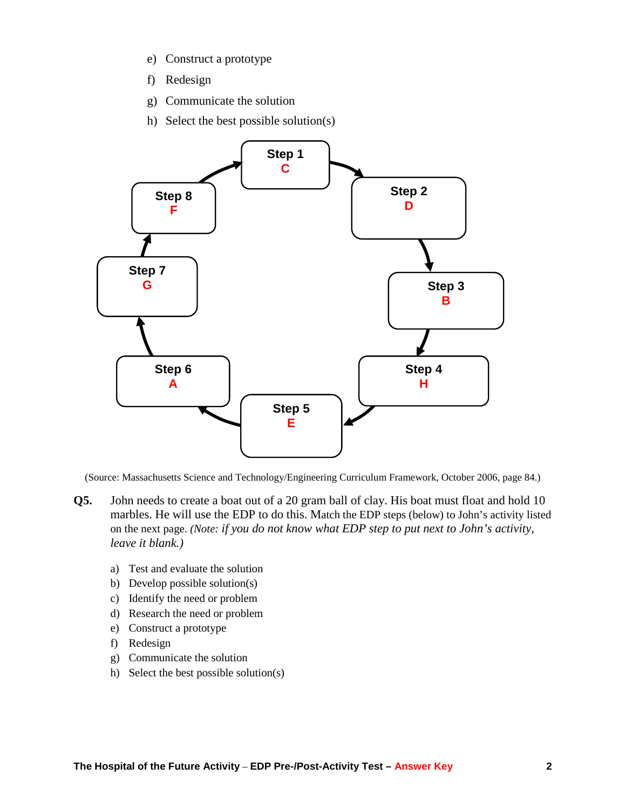- e) Construct a prototype
- f) Redesign
- g) Communicate the solution
- h) Select the best possible solution(s)



(Source: Massachusetts Science and Technology/Engineering Curriculum Framework, October 2006, page 84.)

- **Q5.** John needs to create a boat out of a 20 gram ball of clay. His boat must float and hold 10 marbles. He will use the EDP to do this. Match the EDP steps (below) to John's activity listed on the next page. *(Note: if you do not know what EDP step to put next to John's activity, leave it blank.)* 
	- a) Test and evaluate the solution
	- b) Develop possible solution(s)
	- c) Identify the need or problem
	- d) Research the need or problem
	- e) Construct a prototype
	- f) Redesign
	- g) Communicate the solution
	- h) Select the best possible solution(s)